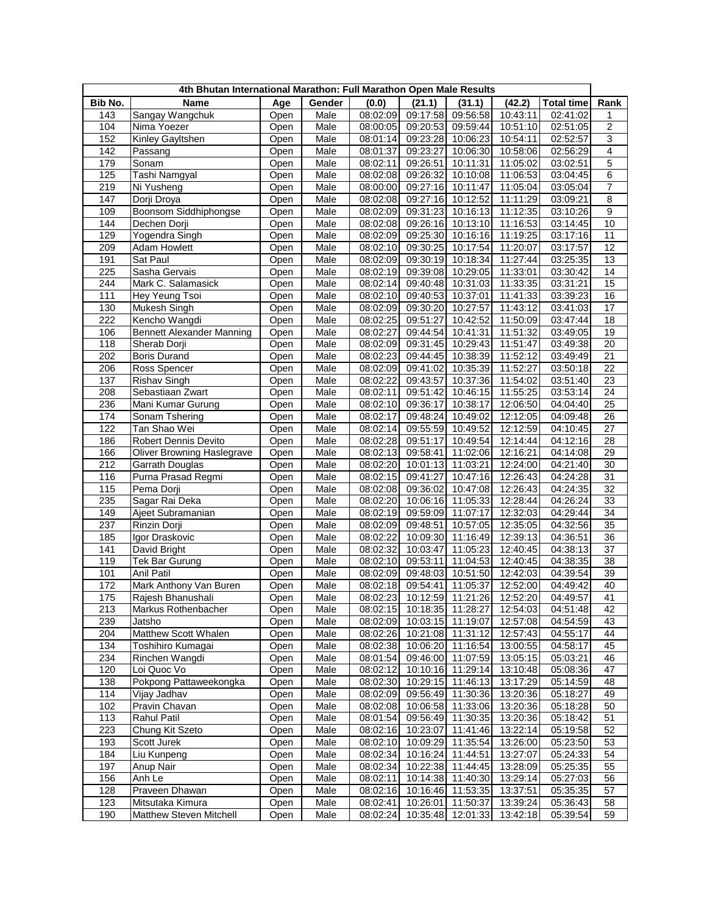| 4th Bhutan International Marathon: Full Marathon Open Male Results |                                   |              |        |                      |                      |                      |                      |                       |                 |
|--------------------------------------------------------------------|-----------------------------------|--------------|--------|----------------------|----------------------|----------------------|----------------------|-----------------------|-----------------|
| Bib No.                                                            | Name                              | Age          | Gender | (0.0)                | (21.1)               | (31.1)               | (42.2)               | <b>Total time</b>     | Rank            |
| 143                                                                | Sangay Wangchuk                   | Open         | Male   | 08:02:09             | 09:17:58             | 09:56:58             | 10:43:11             | 02:41:02              | 1               |
| 104                                                                | Nima Yoezer                       | Open         | Male   | 08:00:05             | 09:20:53             | 09:59:44             | 10:51:10             | 02:51:05              | 2               |
| 152                                                                | Kinley Gayltshen                  | Open         | Male   | 08:01:14             | 09:23:28             | 10:06:23             | 10:54:11             | 02:52:57              | 3               |
| 142                                                                | Passang                           | Open         | Male   | 08:01:37             | 09:23:27             | 10:06:30             | 10:58:06             | 02:56:29              | 4               |
| 179                                                                | Sonam                             | Open         | Male   | 08:02:11             | 09:26:51             | 10:11:31             | 11:05:02             | 03:02:51              | $\overline{5}$  |
| 125                                                                | Tashi Namgyal                     | Open         | Male   | 08:02:08             | 09:26:32             | 10:10:08             | 11:06:53             | 03:04:45              | 6               |
| 219                                                                | Ni Yusheng                        | Open         | Male   | 08:00:00             | 09:27:16             | 10:11:47             | 11:05:04             | 03:05:04              | 7               |
| 147                                                                | Dorji Droya                       | Open         | Male   | 08:02:08             | 09:27:16             | 10:12:52             | 11:11:29             | 03:09:21              | 8               |
| 109                                                                | Boonsom Siddhiphongse             | Open         | Male   | 08:02:09             | 09:31:23             | 10:16:13             | 11:12:35             | 03:10:26              | $\overline{9}$  |
| 144                                                                | Dechen Dorji                      | Open         | Male   | 08:02:08             | 09:26:16             | 10:13:10             | 11:16:53             | 03:14:45              | 10              |
| 129                                                                | Yogendra Singh                    | Open         | Male   | 08:02:09             | 09:25:30             | 10:16:16             | 11:19:25             | 03:17:16              | 11              |
| 209                                                                | <b>Adam Howlett</b>               | Open         | Male   | 08:02:10             | 09:30:25             | 10:17:54             | 11:20:07             | 03:17:57              | 12              |
| 191                                                                | Sat Paul                          | Open         | Male   | 08:02:09             | 09:30:19             | 10:18:34             | 11:27:44             | 03:25:35              | 13              |
| 225                                                                | Sasha Gervais                     | Open         | Male   | 08:02:19             | 09:39:08             | 10:29:05             | 11:33:01             | 03:30:42              | 14              |
| 244                                                                | Mark C. Salamasick                | Open         | Male   | 08:02:14             | 09:40:48             | 10:31:03             | 11:33:35             | 03:31:21              | 15              |
| 111                                                                | Hey Yeung Tsoi                    | Open         | Male   | 08:02:10             | 09:40:53             | 10:37:01             | 11:41:33             | 03:39:23              | 16              |
| 130                                                                | Mukesh Singh                      | Open         | Male   | 08:02:09             | 09:30:20             | 10:27:57             | 11:43:12             | 03:41:03              | 17              |
| 222                                                                | Kencho Wangdi                     | Open         | Male   | 08:02:25             | 09:51:27             | 10:42:52             | 11:50:09             | 03:47:44              | 18              |
| 106                                                                | <b>Bennett Alexander Manning</b>  | Open         | Male   | 08:02:27             | 09:44:54             | 10:41:31             | 11:51:32             | 03:49:05              | 19              |
| 118                                                                | Sherab Dorji                      | Open         | Male   | 08:02:09             | 09:31:45             | 10:29:43             | 11:51:47             | 03:49:38              | 20              |
| 202                                                                | <b>Boris Durand</b>               | Open         | Male   | 08:02:23             | 09:44:45             | 10:38:39             | 11:52:12             | 03:49:49              | 21              |
| 206                                                                | Ross Spencer                      | Open         | Male   | 08:02:09             | 09:41:02             | 10:35:39             | 11:52:27             | 03:50:18              | 22              |
| 137                                                                | Rishav Singh                      | Open         | Male   | 08:02:22             | 09:43:57             | 10:37:36             | 11:54:02             | 03:51:40              | 23              |
| 208                                                                | Sebastiaan Zwart                  | Open         | Male   | 08:02:11             | 09:51:42             | 10:46:15             | 11:55:25             | 03:53:14              | 24              |
| 236                                                                | Mani Kumar Gurung                 | Open         | Male   | 08:02:10             | 09:36:17             | 10:38:17             | 12:06:50             | 04:04:40              | 25              |
| 174                                                                | Sonam Tshering                    | Open         | Male   | 08:02:17             | 09:48:24             | 10:49:02             | 12:12:05             | 04:09:48              | $\overline{26}$ |
| 122                                                                | Tan Shao Wei                      | Open         | Male   | 08:02:14             | 09:55:59             | 10:49:52             | 12:12:59             | 04:10:45              | 27              |
| 186                                                                | Robert Dennis Devito              | Open         | Male   | 08:02:28             | 09:51:17             | 10:49:54             | 12:14:44             | $\overline{04:12:16}$ | 28              |
| 166                                                                | <b>Oliver Browning Haslegrave</b> | Open         | Male   | 08:02:13             | 09:58:41             | 11:02:06             | 12:16:21             | 04:14:08              | 29              |
| 212                                                                | Garrath Douglas                   | Open         | Male   | 08:02:20             | 10:01:13             | 11:03:21             | 12:24:00             | 04:21:40              | 30              |
| 116                                                                | Purna Prasad Regmi                | Open         | Male   | 08:02:15             | 09:41:27             | 10:47:16             | 12:26:43             | 04:24:28              | 31              |
| 115                                                                | Pema Dorji                        | Open         | Male   | 08:02:08             | 09:36:02             | 10:47:08             | 12:26:43             | 04:24:35              | 32              |
| 235                                                                | Sagar Rai Deka                    | Open         | Male   | 08:02:20             | 10:06:16             | 11:05:33             | 12:28:44             | 04:26:24              | 33              |
| 149                                                                |                                   |              | Male   | 08:02:19             | 09:59:09             | 11:07:17             | 12:32:03             | 04:29:44              | 34              |
| 237                                                                | Ajeet Subramanian<br>Rinzin Dorji | Open<br>Open | Male   | 08:02:09             | 09:48:51             | 10:57:05             | 12:35:05             | 04:32:56              | 35              |
|                                                                    |                                   |              | Male   | 08:02:22             |                      | 11:16:49             |                      |                       |                 |
| 185                                                                | Igor Draskovic                    | Open         |        |                      | 10:09:30<br>10:03:47 |                      | 12:39:13             | 04:36:51              | 36              |
| 141                                                                | David Bright                      | Open         | Male   | 08:02:32             |                      | 11:05:23             | 12:40:45             | 04:38:13              | 37              |
| 119<br>101                                                         | Tek Bar Gurung<br>Anil Patil      | Open         | Male   | 08:02:10             | 09:53:11             | 11:04:53<br>10:51:50 | 12:40:45<br>12:42:03 | 04:38:35              | 38<br>39        |
|                                                                    |                                   | Open         | Male   | 08:02:09<br>08:02:18 | 09:48:03             |                      |                      | 04:39:54              | 40              |
| 172                                                                | Mark Anthony Van Buren            | Open         | Male   |                      | 09:54:41             | 11:05:37             | 12:52:00             | 04:49:42              | 41              |
| 175                                                                | Rajesh Bhanushali                 | Open         | Male   | 08:02:23             | 10:12:59             | 11:21:26             | 12:52:20             | 04:49:57              |                 |
| 213                                                                | Markus Rothenbacher               | Open         | Male   | 08:02:15             |                      | 10:18:35 11:28:27    | 12:54:03             | 04:51:48              | 42              |
| 239                                                                | Jatsho                            | Open         | Male   | 08:02:09             | 10:03:15             | 11:19:07             | 12:57:08             | 04:54:59              | 43              |
| 204                                                                | Matthew Scott Whalen              | Open         | Male   | 08:02:26             | 10:21:08             | 11:31:12             | 12:57:43             | 04:55:17              | 44              |
| 134                                                                | Toshihiro Kumagai                 | Open         | Male   | 08:02:38             | 10:06:20             | 11:16:54             | 13:00:55             | 04:58:17              | 45              |
| 234                                                                | Rinchen Wangdi                    | Open         | Male   | 08:01:54             | 09:46:00             | 11:07:59             | 13:05:15             | 05:03:21              | 46              |
| 120                                                                | Loi Quoc Vo                       | Open         | Male   | 08:02:12             | 10:10:16             | 11:29:14             | 13:10:48             | 05:08:36              | 47              |
| 138                                                                | Pokpong Pattaweekongka            | Open         | Male   | 08:02:30             | 10:29:15             | 11:46:13             | 13:17:29             | 05:14:59              | 48              |
| 114                                                                | Vijay Jadhav                      | Open         | Male   | 08:02:09             | 09:56:49             | 11:30:36             | 13:20:36             | 05:18:27              | 49              |
| 102                                                                | Pravin Chavan                     | Open         | Male   | 08:02:08             | 10:06:58             | 11:33:06             | 13:20:36             | 05:18:28              | 50              |
| 113                                                                | <b>Rahul Patil</b>                | Open         | Male   | 08:01:54             | 09:56:49             | 11:30:35             | 13:20:36             | 05:18:42              | 51              |
| 223                                                                | Chung Kit Szeto                   | Open         | Male   | 08:02:16             | 10:23:07             | 11:41:46             | 13:22:14             | 05:19:58              | 52              |
| 193                                                                | Scott Jurek                       | Open         | Male   | 08:02:10             | 10:09:29             | 11:35:54             | 13:26:00             | 05:23:50              | 53              |
| 184                                                                | Liu Kunpeng                       | Open         | Male   | 08:02:34             | 10:16:24             | 11:44:51             | 13:27:07             | 05:24:33              | 54              |
| 197                                                                | Anup Nair                         | Open         | Male   | 08:02:34             | 10:22:38             | 11:44:45             | 13:28:09             | 05:25:35              | 55              |
| 156                                                                | Anh Le                            | Open         | Male   | 08:02:11             | 10:14:38             | 11:40:30             | 13:29:14             | 05:27:03              | 56              |
| 128                                                                | Praveen Dhawan                    | Open         | Male   | 08:02:16             | 10:16:46             | 11:53:35             | 13:37:51             | 05:35:35              | 57              |
| 123                                                                | Mitsutaka Kimura                  | Open         | Male   | 08:02:41             | 10:26:01             | 11:50:37             | 13:39:24             | 05:36:43              | 58              |
| 190                                                                | Matthew Steven Mitchell           | Open         | Male   | 08:02:24             | 10:35:48             | 12:01:33             | 13:42:18             | 05:39:54              | 59              |